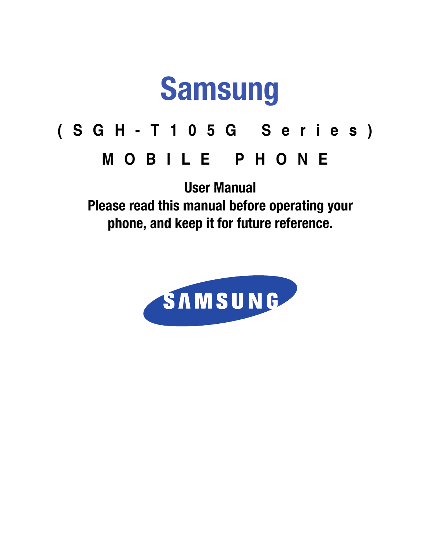

# **(SGH-T105G Series) MOBILE PHONE**

**User Manual Please read this manual before operating your phone, and keep it for future reference.**

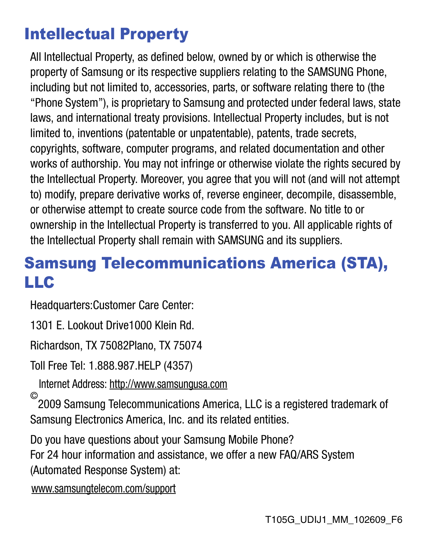# Intellectual Property

All Intellectual Property, as defined below, owned by or which is otherwise the property of Samsung or its respective suppliers relating to the SAMSUNG Phone, including but not limited to, accessories, parts, or software relating there to (the "Phone System"), is proprietary to Samsung and protected under federal laws, state laws, and international treaty provisions. Intellectual Property includes, but is not limited to, inventions (patentable or unpatentable), patents, trade secrets, copyrights, software, computer programs, and related documentation and other works of authorship. You may not infringe or otherwise violate the rights secured by the Intellectual Property. Moreover, you agree that you will not (and will not attempt to) modify, prepare derivative works of, reverse engineer, decompile, disassemble, or otherwise attempt to create source code from the software. No title to or ownership in the Intellectual Property is transferred to you. All applicable rights of the Intellectual Property shall remain with SAMSUNG and its suppliers.

# Samsung Telecommunications America (STA), LLC

Headquarters:Customer Care Center:

1301 E. Lookout Drive1000 Klein Rd.

Richardson, TX 75082Plano, TX 75074

Toll Free Tel: 1.888.987.HELP (4357)

Internet Address:<http://www.samsungusa.com> ©

2009 Samsung Telecommunications America, LLC is a registered trademark of Samsung Electronics America, Inc. and its related entities.

Do you have questions about your Samsung Mobile Phone? For 24 hour information and assistance, we offer a new FAQ/ARS System (Automated Response System) at:

[www.samsungtelecom.com/support](http://www.samsungtelecom.com/support)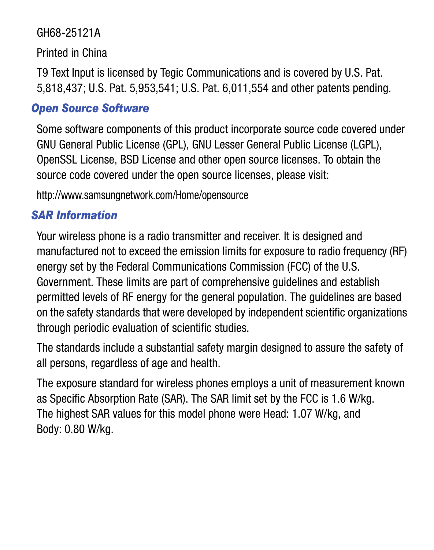#### GH68-25121A

Printed in China

T9 Text Input is licensed by Tegic Communications and is covered by U.S. Pat. 5,818,437; U.S. Pat. 5,953,541; U.S. Pat. 6,011,554 and other patents pending.

#### *Open Source Software*

Some software components of this product incorporate source code covered under GNU General Public License (GPL), GNU Lesser General Public License (LGPL), OpenSSL License, BSD License and other open source licenses. To obtain the source code covered under the open source licenses, please visit:

<http://www.samsungnetwork.com/Home/opensource>

### *SAR Information*

Your wireless phone is a radio transmitter and receiver. It is designed and manufactured not to exceed the emission limits for exposure to radio frequency (RF) energy set by the Federal Communications Commission (FCC) of the U.S. Government. These limits are part of comprehensive guidelines and establish permitted levels of RF energy for the general population. The guidelines are based on the safety standards that were developed by independent scientific organizations through periodic evaluation of scientific studies.

The standards include a substantial safety margin designed to assure the safety of all persons, regardless of age and health.

The exposure standard for wireless phones employs a unit of measurement known as Specific Absorption Rate (SAR). The SAR limit set by the FCC is 1.6 W/kg. The highest SAR values for this model phone were Head: 1.07 W/kg, and Body: 0.80 W/kg.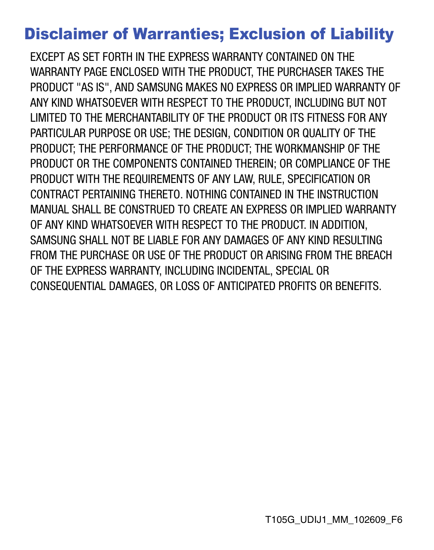# Disclaimer of Warranties; Exclusion of Liability

EXCEPT AS SET FORTH IN THE EXPRESS WARRANTY CONTAINED ON THE WARRANTY PAGE ENCLOSED WITH THE PRODUCT, THE PURCHASER TAKES THE PRODUCT "AS IS", AND SAMSUNG MAKES NO EXPRESS OR IMPLIED WARRANTY OF ANY KIND WHATSOEVER WITH RESPECT TO THE PRODUCT, INCLUDING BUT NOT LIMITED TO THE MERCHANTABILITY OF THE PRODUCT OR ITS FITNESS FOR ANY PARTICULAR PURPOSE OR USE; THE DESIGN, CONDITION OR QUALITY OF THE PRODUCT; THE PERFORMANCE OF THE PRODUCT; THE WORKMANSHIP OF THE PRODUCT OR THE COMPONENTS CONTAINED THEREIN; OR COMPLIANCE OF THE PRODUCT WITH THE REQUIREMENTS OF ANY LAW, RULE, SPECIFICATION OR CONTRACT PERTAINING THERETO. NOTHING CONTAINED IN THE INSTRUCTION MANUAL SHALL BE CONSTRUED TO CREATE AN EXPRESS OR IMPLIED WARRANTY OF ANY KIND WHATSOEVER WITH RESPECT TO THE PRODUCT. IN ADDITION, SAMSUNG SHALL NOT BE LIABLE FOR ANY DAMAGES OF ANY KIND RESULTING FROM THE PURCHASE OR USE OF THE PRODUCT OR ARISING FROM THE BREACH OF THE EXPRESS WARRANTY, INCLUDING INCIDENTAL, SPECIAL OR CONSEQUENTIAL DAMAGES, OR LOSS OF ANTICIPATED PROFITS OR BENEFITS.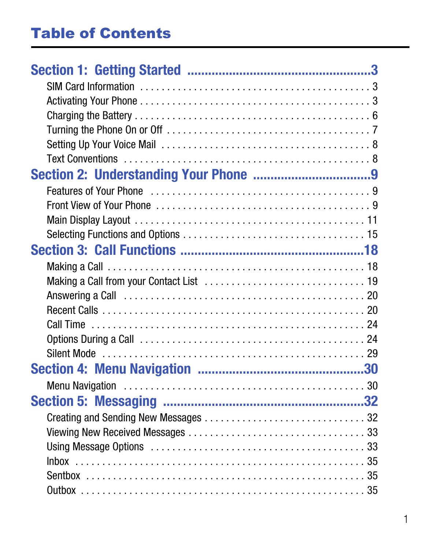# [Table of Contents](#page-6-0)

| Features of Your Phone encourage contained a series of your Phone entrury of 9 |  |
|--------------------------------------------------------------------------------|--|
|                                                                                |  |
|                                                                                |  |
|                                                                                |  |
|                                                                                |  |
|                                                                                |  |
|                                                                                |  |
|                                                                                |  |
|                                                                                |  |
|                                                                                |  |
|                                                                                |  |
|                                                                                |  |
|                                                                                |  |
|                                                                                |  |
|                                                                                |  |
|                                                                                |  |
|                                                                                |  |
|                                                                                |  |
|                                                                                |  |
|                                                                                |  |
|                                                                                |  |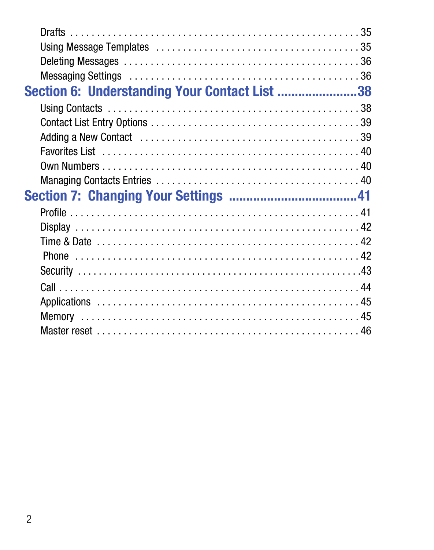| Section 6: Understanding Your Contact List 38 |  |
|-----------------------------------------------|--|
|                                               |  |
|                                               |  |
|                                               |  |
|                                               |  |
|                                               |  |
|                                               |  |
|                                               |  |
|                                               |  |
|                                               |  |
|                                               |  |
|                                               |  |
|                                               |  |
|                                               |  |
|                                               |  |
|                                               |  |
|                                               |  |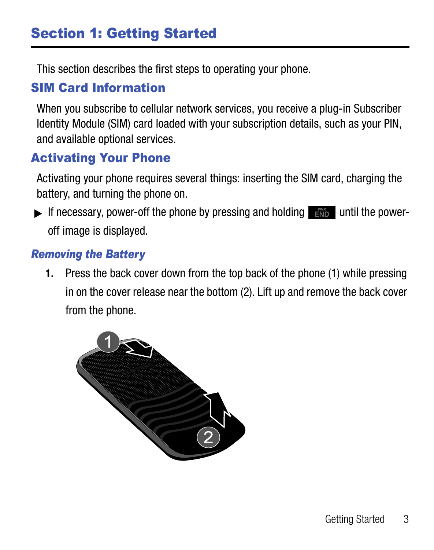# <span id="page-6-0"></span>Section 1: Getting Started

This section describes the first steps to operating your phone.

# <span id="page-6-1"></span>SIM Card Information

When you subscribe to cellular network services, you receive a plug-in Subscriber Identity Module (SIM) card loaded with your subscription details, such as your PIN, and available optional services.

# <span id="page-6-2"></span>Activating Your Phone

Activating your phone requires several things: inserting the SIM card, charging the battery, and turning the phone on.

If necessary, power-off the phone by pressing and holding  $\frac{1}{2}$  and the poweroff image is displayed.

### *Removing the Battery*

**1.** Press the back cover down from the top back of the phone (1) while pressing in on the cover release near the bottom (2). Lift up and remove the back cover from the phone.

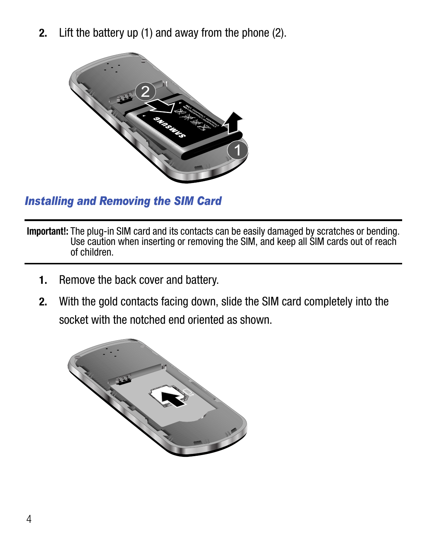**2.** Lift the battery up (1) and away from the phone (2).



*Installing and Removing the SIM Card*

**Important!:** The plug-in SIM card and its contacts can be easily damaged by scratches or bending. Use caution when inserting or removing the SIM, and keep all SIM cards out of reach of children.

- **1.** Remove the back cover and battery.
- **2.** With the gold contacts facing down, slide the SIM card completely into the socket with the notched end oriented as shown.

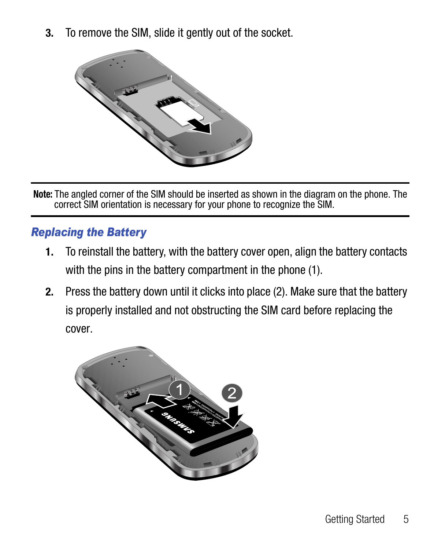**3.** To remove the SIM, slide it gently out of the socket.



**Note:** The angled corner of the SIM should be inserted as shown in the diagram on the phone. The correct SIM orientation is necessary for your phone to recognize the SIM.

#### *Replacing the Battery*

- **1.** To reinstall the battery, with the battery cover open, align the battery contacts with the pins in the battery compartment in the phone (1).
- **2.** Press the battery down until it clicks into place (2). Make sure that the battery is properly installed and not obstructing the SIM card before replacing the cover.

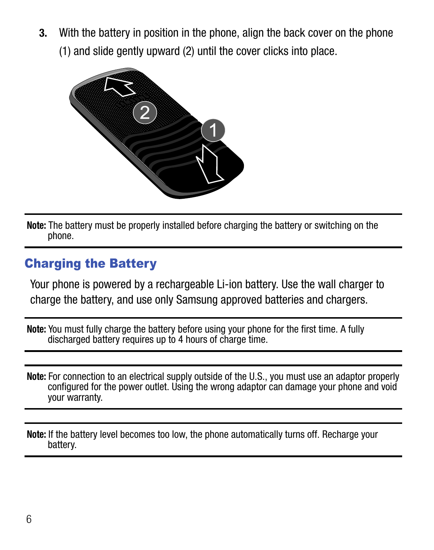**3.** With the battery in position in the phone, align the back cover on the phone (1) and slide gently upward (2) until the cover clicks into place.



**Note:** The battery must be properly installed before charging the battery or switching on the phone.

### <span id="page-9-0"></span>Charging the Battery

Your phone is powered by a rechargeable Li-ion battery. Use the wall charger to charge the battery, and use only Samsung approved batteries and chargers.

**Note:** You must fully charge the battery before using your phone for the first time. A fully discharged battery requires up to 4 hours of charge time.

**Note:** For connection to an electrical supply outside of the U.S., you must use an adaptor properly configured for the power outlet. Using the wrong adaptor can damage your phone and void your warranty.

**Note:** If the battery level becomes too low, the phone automatically turns off. Recharge your battery.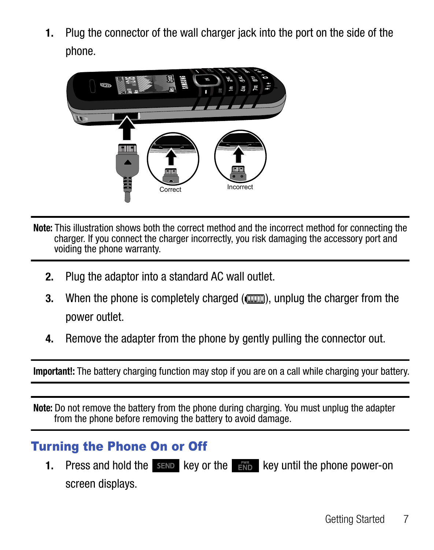**1.** Plug the connector of the wall charger jack into the port on the side of the phone.



**Note:** This illustration shows both the correct method and the incorrect method for connecting the charger. If you connect the charger incorrectly, you risk damaging the accessory port and voiding the phone warranty.

- **2.** Plug the adaptor into a standard AC wall outlet.
- **3.** When the phone is completely charged ( $\overline{(m m)}$ ), unplug the charger from the power outlet.
- **4.** Remove the adapter from the phone by gently pulling the connector out.

**Important!:** The battery charging function may stop if you are on a call while charging your battery.

**Note:** Do not remove the battery from the phone during charging. You must unplug the adapter from the phone before removing the battery to avoid damage.

### <span id="page-10-0"></span>Turning the Phone On or Off

**1.** Press and hold the send key or the Film key until the phone power-on screen displays.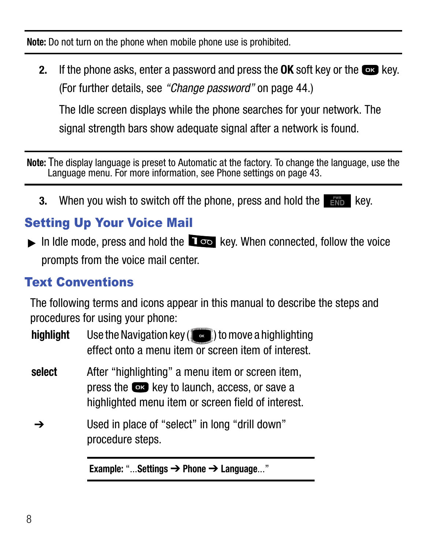**Note:** Do not turn on the phone when mobile phone use is prohibited.

**2.** If the phone asks, enter a password and press the **OK** soft key or the **CR** key. (For further details, see *"Change password"* on [page 44.](#page-47-1))

The Idle screen displays while the phone searches for your network. The

signal strength bars show adequate signal after a network is found.

**Note:** The display language is preset to Automatic at the factory. To change the language, use the Language menu. For more information, see Phone settings on [page 43.](#page-46-1)

**3.** When you wish to switch off the phone, press and hold the **key.** key.

# <span id="page-11-0"></span>Setting Up Your Voice Mail

In Idle mode, press and hold the  $\Box \circ \circ$  key. When connected, follow the voice prompts from the voice mail center.

### <span id="page-11-1"></span>Text Conventions

The following terms and icons appear in this manual to describe the steps and procedures for using your phone:

- **highlight** Use the Navigation key (1<sup>2</sup><sub>2</sub><sup>2</sup>) to move a highlighting effect onto a menu item or screen item of interest.
- **select** After "highlighting" a menu item or screen item, press the **low** key to launch, access, or save a highlighted menu item or screen field of interest.
- ➔ Used in place of "select" in long "drill down" procedure steps.

**Example:** "...**Settings** ➔ **Phone** ➔ **Language**..."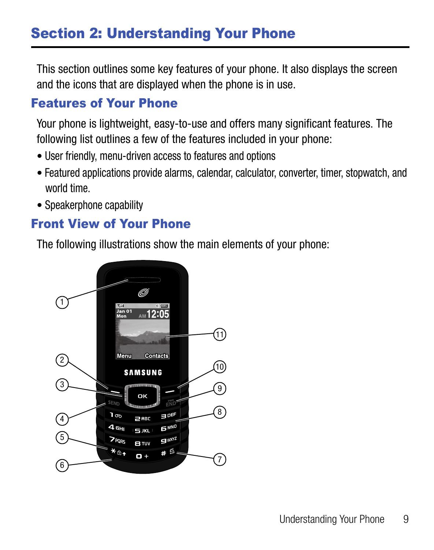# <span id="page-12-0"></span>Section 2: Understanding Your Phone

This section outlines some key features of your phone. It also displays the screen and the icons that are displayed when the phone is in use.

### <span id="page-12-1"></span>Features of Your Phone

Your phone is lightweight, easy-to-use and offers many significant features. The following list outlines a few of the features included in your phone:

- User friendly, menu-driven access to features and options
- Featured applications provide alarms, calendar, calculator, converter, timer, stopwatch, and world time.
- Speakerphone capability

# <span id="page-12-2"></span>Front View of Your Phone

The following illustrations show the main elements of your phone:

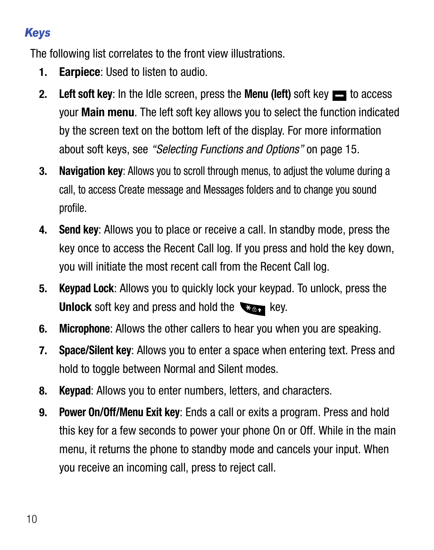# *Keys*

The following list correlates to the front view illustrations.

- **1. Earpiece**: Used to listen to audio.
- **2.** Left soft key: In the Idle screen, press the **Menu (left)** soft key **to** access your **Main menu**. The left soft key allows you to select the function indicated by the screen text on the bottom left of the display. For more information about soft keys, see *["Selecting Functions and Options"](#page-18-0)* on page 15.
- **3. Navigation key**: Allows you to scroll through menus, to adjust the volume during a call, to access Create message and Messages folders and to change you sound profile.
- **4. Send key**: Allows you to place or receive a call. In standby mode, press the key once to access the Recent Call log. If you press and hold the key down, you will initiate the most recent call from the Recent Call log.
- **5. Keypad Lock**: Allows you to quickly lock your keypad. To unlock, press the **Unlock** soft key and press and hold the **key.** key.
- **6. Microphone**: Allows the other callers to hear you when you are speaking.
- **7. Space/Silent key**: Allows you to enter a space when entering text. Press and hold to toggle between Normal and Silent modes.
- **8. Keypad**: Allows you to enter numbers, letters, and characters.
- **9. Power On/Off/Menu Exit key**: Ends a call or exits a program. Press and hold this key for a few seconds to power your phone On or Off. While in the main menu, it returns the phone to standby mode and cancels your input. When you receive an incoming call, press to reject call.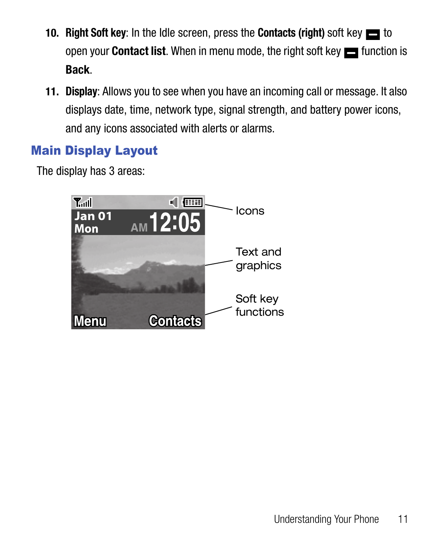- **10. Right Soft key:** In the Idle screen, press the **Contacts (right)** soft key **to** open your **Contact list**. When in menu mode, the right soft key **function** is **Back**.
- **11. Display**: Allows you to see when you have an incoming call or message. It also displays date, time, network type, signal strength, and battery power icons, and any icons associated with alerts or alarms.

# <span id="page-14-0"></span>Main Display Layout

The display has 3 areas:

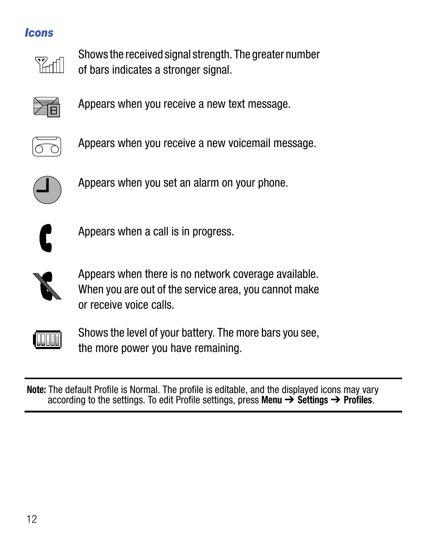#### *Icons*



Shows the received signal strength. The greater number of bars indicates a stronger signal.



Appears when you receive a new text message.



Appears when you receive a new voicemail message.



Appears when you set an alarm on your phone.



Appears when a call is in progress.



Appears when there is no network coverage available. When you are out of the service area, you cannot make or receive voice calls.



Shows the level of your battery. The more bars you see, the more power you have remaining.

**Note:** The default Profile is Normal. The profile is editable, and the displayed icons may vary according to the settings. To edit Profile settings, press **Menu** ➔ **Settings** ➔ **Profiles**.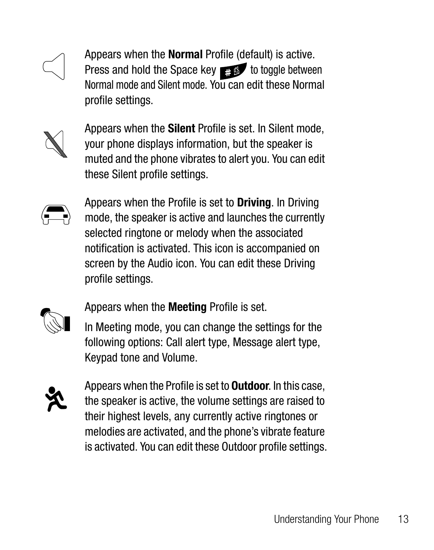

Appears when the **Normal** Profile (default) is active. Press and hold the Space key to toggle between Normal mode and Silent mode. You can edit these Normal profile settings.



Appears when the **Silent** Profile is set. In Silent mode, your phone displays information, but the speaker is muted and the phone vibrates to alert you. You can edit these Silent profile settings.



Appears when the Profile is set to **Driving**. In Driving mode, the speaker is active and launches the currently selected ringtone or melody when the associated notification is activated. This icon is accompanied on screen by the Audio icon. You can edit these Driving profile settings.



Appears when the **Meeting** Profile is set.

In Meeting mode, you can change the settings for the following options: Call alert type, Message alert type, Keypad tone and Volume.



Appears when the Profile is set to **Outdoor**. In this case, the speaker is active, the volume settings are raised to their highest levels, any currently active ringtones or melodies are activated, and the phone's vibrate feature is activated. You can edit these Outdoor profile settings.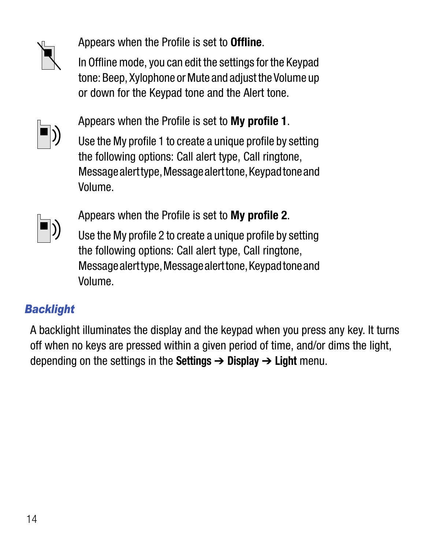

Appears when the Profile is set to **Offline**.

In Offline mode, you can edit the settings for the Keypad tone: Beep, Xylophone or Mute and adjust the Volume up or down for the Keypad tone and the Alert tone.

Appears when the Profile is set to **My profile 1**.

Use the My profile 1 to create a unique profile by setting the following options: Call alert type, Call ringtone, Message alert type, Message alert tone, Keypad tone and Volume.



Appears when the Profile is set to **My profile 2**.

Use the My profile 2 to create a unique profile by setting the following options: Call alert type, Call ringtone, Message alert type, Message alert tone, Keypad tone and Volume.

### *Backlight*

A backlight illuminates the display and the keypad when you press any key. It turns off when no keys are pressed within a given period of time, and/or dims the light, depending on the settings in the **Settings** ➔ **Display** ➔ **Light** menu.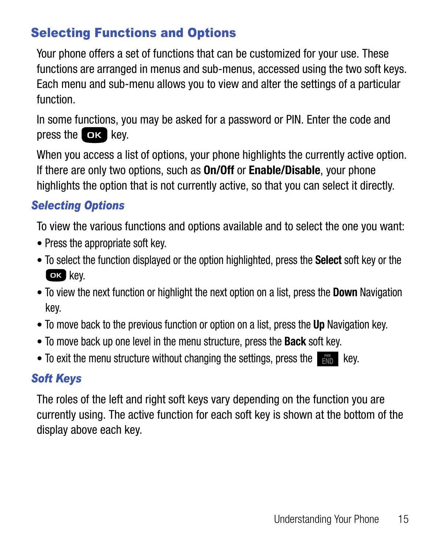# <span id="page-18-0"></span>Selecting Functions and Options

Your phone offers a set of functions that can be customized for your use. These functions are arranged in menus and sub-menus, accessed using the two soft keys. Each menu and sub-menu allows you to view and alter the settings of a particular function.

In some functions, you may be asked for a password or PIN. Enter the code and press the  $\Box$  key.

When you access a list of options, your phone highlights the currently active option. If there are only two options, such as **On/Off** or **Enable/Disable**, your phone highlights the option that is not currently active, so that you can select it directly.

### *Selecting Options*

To view the various functions and options available and to select the one you want:

- Press the appropriate soft key.
- To select the function displayed or the option highlighted, press the **Select** soft key or the **ex** key.
- To view the next function or highlight the next option on a list, press the **Down** Navigation key.
- To move back to the previous function or option on a list, press the **Up** Navigation key.
- To move back up one level in the menu structure, press the **Back** soft key.
- To exit the menu structure without changing the settings, press the  $k$  key.

#### *Soft Keys*

The roles of the left and right soft keys vary depending on the function you are currently using. The active function for each soft key is shown at the bottom of the display above each key.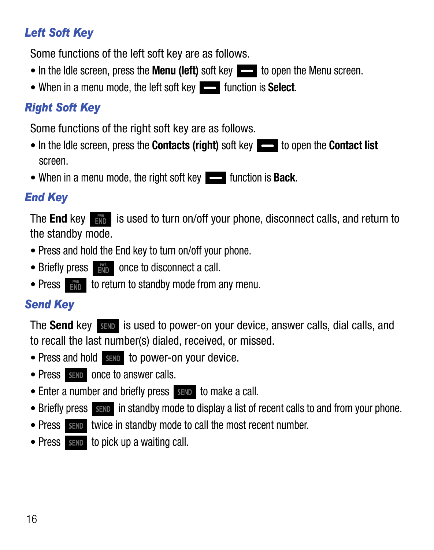# *Left Soft Key*

Some functions of the left soft key are as follows.

- In the Idle screen, press the **Menu (left)** soft key **the state of the Menu screen.**
- When in a menu mode, the left soft key **the left of the select**.

### *Right Soft Key*

Some functions of the right soft key are as follows.

- In the Idle screen, press the **Contacts (right)** soft key to open the **Contact list** screen.
- When in a menu mode, the right soft key **Function is Back.**

### *End Key*

The **End** key **in** is used to turn on/off your phone, disconnect calls, and return to the standby mode.

- Press and hold the End key to turn on/off your phone.
- Briefly press  $\frac{1}{200}$  once to disconnect a call.
- Press  $\frac{1}{\sqrt{2}}$  to return to standby mode from any menu.

### *Send Key*

The **Send** key **SEND** is used to power-on your device, answer calls, dial calls, and to recall the last number(s) dialed, received, or missed.

- Press and hold sample to power-on your device.
- Press sand once to answer calls.
- Enter a number and briefly press sample to make a call.
- Briefly press same in standby mode to display a list of recent calls to and from your phone.
- Press samp twice in standby mode to call the most recent number.
- $\bullet$  Press  $\overline{\text{sm}}$  to pick up a waiting call.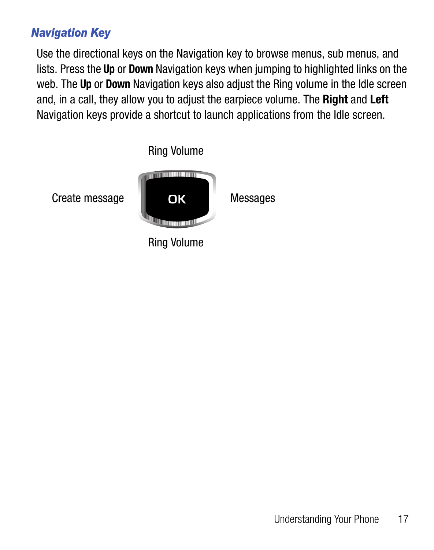### *Navigation Key*

Use the directional keys on the Navigation key to browse menus, sub menus, and lists. Press the **Up** or **Down** Navigation keys when jumping to highlighted links on the web. The **Up** or **Down** Navigation keys also adjust the Ring volume in the Idle screen and, in a call, they allow you to adjust the earpiece volume. The **Right** and **Left** Navigation keys provide a shortcut to launch applications from the Idle screen.

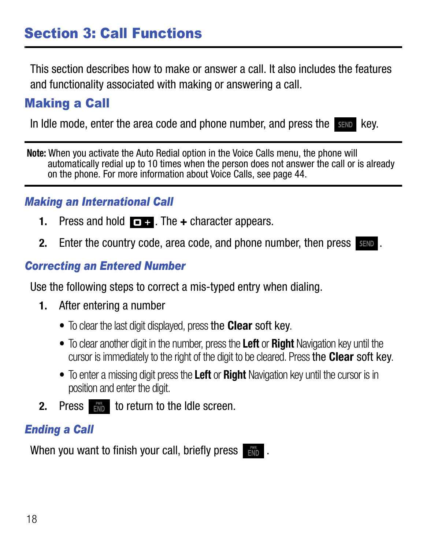<span id="page-21-0"></span>This section describes how to make or answer a call. It also includes the features and functionality associated with making or answering a call.

### <span id="page-21-1"></span>Making a Call

In Idle mode, enter the area code and phone number, and press the same key.

**Note:** When you activate the Auto Redial option in the Voice Calls menu, the phone will automatically redial up to 10 times when the person does not answer the call or is already on the phone. For more information about Voice Calls, see [page 44.](#page-47-2)

#### *Making an International Call*

- **1.** Press and hold **. The +** character appears.
- **2.** Enter the country code, area code, and phone number, then press send.

#### *Correcting an Entered Number*

Use the following steps to correct a mis-typed entry when dialing.

- **1.** After entering a number
	- **•** To clear the last digit displayed, press the **Clear** soft key.
	- **•** To clear another digit in the number, press the **Left** or **Right** Navigation key until the cursor is immediately to the right of the digit to be cleared. Press the **Clear** soft key.
	- **•** To enter a missing digit press the **Left** or **Right** Navigation key until the cursor is in position and enter the digit.
- **2.** Press **the** *i***m** to return to the Idle screen.

#### *Ending a Call*

When you want to finish your call, briefly press  $\lim_{n \to \infty}$ .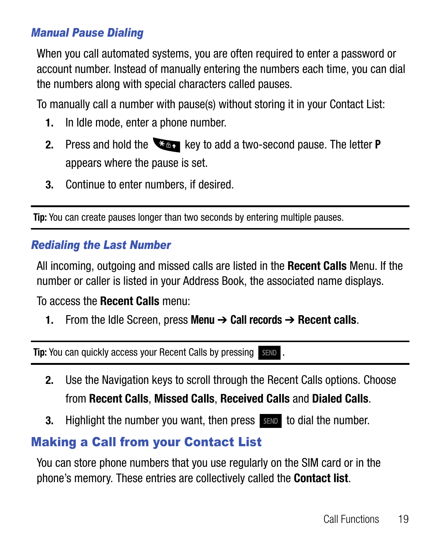#### *Manual Pause Dialing*

When you call automated systems, you are often required to enter a password or account number. Instead of manually entering the numbers each time, you can dial the numbers along with special characters called pauses.

To manually call a number with pause(s) without storing it in your Contact List:

- **1.** In Idle mode, enter a phone number.
- **2.** Press and hold the **Key key to add a two-second pause. The letter <b>P** appears where the pause is set.
- **3.** Continue to enter numbers, if desired.

**Tip:** You can create pauses longer than two seconds by entering multiple pauses.

#### *Redialing the Last Number*

All incoming, outgoing and missed calls are listed in the **Recent Calls** Menu. If the number or caller is listed in your Address Book, the associated name displays.

To access the **Recent Calls** menu:

**1.** From the Idle Screen, press **Menu** ➔ **Call records** ➔ **Recent calls**.

**Tip:** You can quickly access your Recent Calls by pressing send.

- **2.** Use the Navigation keys to scroll through the Recent Calls options. Choose from **Recent Calls**, **Missed Calls**, **Received Calls** and **Dialed Calls**.
- **3.** Highlight the number you want, then press sampled to dial the number.

### <span id="page-22-0"></span>Making a Call from your Contact List

You can store phone numbers that you use regularly on the SIM card or in the phone's memory. These entries are collectively called the **Contact list**.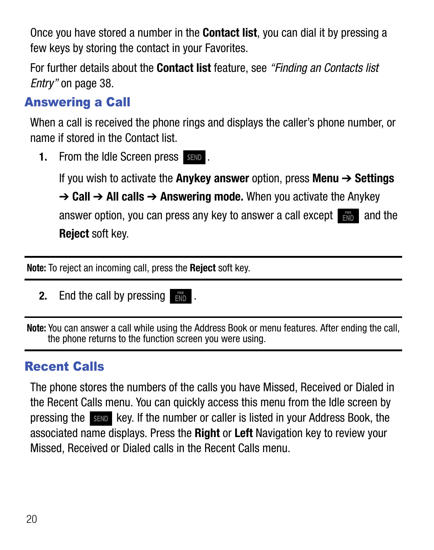Once you have stored a number in the **Contact list**, you can dial it by pressing a few keys by storing the contact in your Favorites.

For further details about the **Contact list** feature, see *["Finding an Contacts list](#page-41-2)  Entry"* [on page 38.](#page-41-2)

# <span id="page-23-0"></span>Answering a Call

When a call is received the phone rings and displays the caller's phone number, or name if stored in the Contact list.

**1.** From the Idle Screen press SEND.

If you wish to activate the **Anykey answer** option, press **Menu** ➔ **Settings**

➔ **Call** ➔ **All calls** ➔ **Answering mode.** When you activate the Anykey answer option, you can press any key to answer a call except  $\frac{1}{200}$  and the **Reject** soft key.

**Note:** To reject an incoming call, press the **Reject** soft key.

**2.** End the call by pressing  $\frac{1}{2}$ 

**Note:** You can answer a call while using the Address Book or menu features. After ending the call, the phone returns to the function screen you were using.

# <span id="page-23-1"></span>Recent Calls

The phone stores the numbers of the calls you have Missed, Received or Dialed in the Recent Calls menu. You can quickly access this menu from the Idle screen by pressing the key. If the number or caller is listed in your Address Book, the associated name displays. Press the **Right** or **Left** Navigation key to review your Missed, Received or Dialed calls in the Recent Calls menu.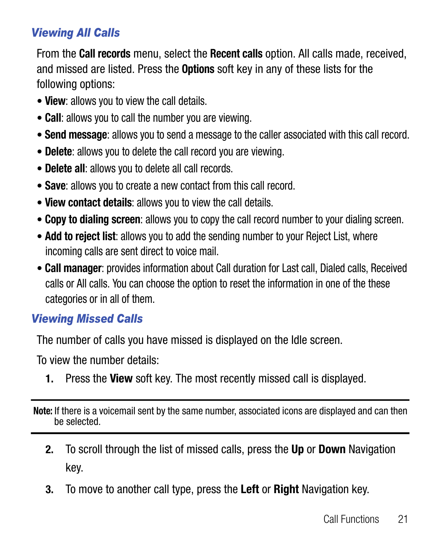#### *Viewing All Calls*

From the **Call records** menu, select the **Recent calls** option. All calls made, received, and missed are listed. Press the **Options** soft key in any of these lists for the following options:

- **View**: allows you to view the call details.
- **Call**: allows you to call the number you are viewing.
- **Send message**: allows you to send a message to the caller associated with this call record.
- **Delete**: allows you to delete the call record you are viewing.
- **Delete all**: allows you to delete all call records.
- **Save**: allows you to create a new contact from this call record.
- **View contact details**: allows you to view the call details.
- **Copy to dialing screen**: allows you to copy the call record number to your dialing screen.
- **Add to reject list**: allows you to add the sending number to your Reject List, where incoming calls are sent direct to voice mail.
- **Call manager**: provides information about Call duration for Last call, Dialed calls, Received calls or All calls. You can choose the option to reset the information in one of the these categories or in all of them.

#### *Viewing Missed Calls*

The number of calls you have missed is displayed on the Idle screen.

To view the number details:

**1.** Press the **View** soft key. The most recently missed call is displayed.

**Note:** If there is a voicemail sent by the same number, associated icons are displayed and can then be selected.

- **2.** To scroll through the list of missed calls, press the **Up** or **Down** Navigation key.
- **3.** To move to another call type, press the **Left** or **Right** Navigation key.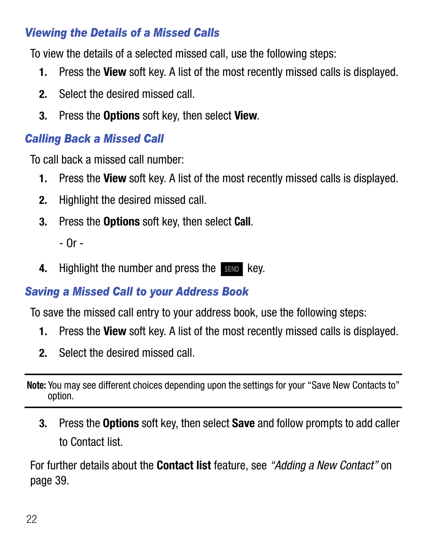#### *Viewing the Details of a Missed Calls*

To view the details of a selected missed call, use the following steps:

- **1.** Press the **View** soft key. A list of the most recently missed calls is displayed.
- **2.** Select the desired missed call.
- **3.** Press the **Options** soft key, then select **View**.

#### *Calling Back a Missed Call*

To call back a missed call number:

- **1.** Press the **View** soft key. A list of the most recently missed calls is displayed.
- **2.** Highlight the desired missed call.
- **3.** Press the **Options** soft key, then select **Call**.

- Or -

**4.** Highlight the number and press the sexual key.

### *Saving a Missed Call to your Address Book*

To save the missed call entry to your address book, use the following steps:

- **1.** Press the **View** soft key. A list of the most recently missed calls is displayed.
- **2.** Select the desired missed call.

**Note:** You may see different choices depending upon the settings for your "Save New Contacts to" option.

**3.** Press the **Options** soft key, then select **Save** and follow prompts to add caller to Contact list.

For further details about the **Contact list** feature, see *["Adding a New Contact"](#page-42-2)* on [page 39.](#page-42-2)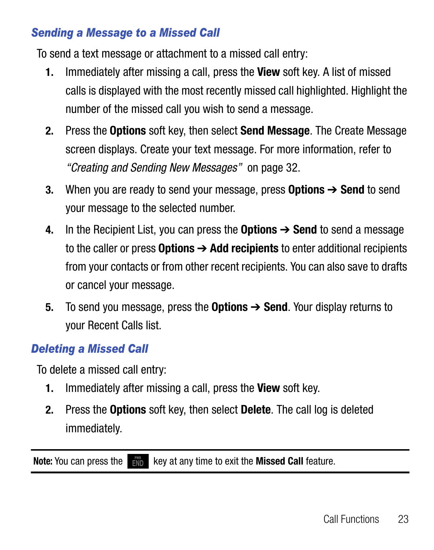#### *Sending a Message to a Missed Call*

To send a text message or attachment to a missed call entry:

- **1.** Immediately after missing a call, press the **View** soft key. A list of missed calls is displayed with the most recently missed call highlighted. Highlight the number of the missed call you wish to send a message.
- **2.** Press the **Options** soft key, then select **Send Message**. The Create Message screen displays. Create your text message. [For more information, refer to](#page-35-2)  *["Creating and Sending New Messages"](#page-35-2)* on page 32.
- **3.** When you are ready to send your message, press **Options** ➔ **Send** to send your message to the selected number.
- **4.** In the Recipient List, you can press the **Options** ➔ **Send** to send a message to the caller or press **Options** ➔ **Add recipients** to enter additional recipients from your contacts or from other recent recipients. You can also save to drafts or cancel your message.
- **5.** To send you message, press the **Options** ➔ **Send**. Your display returns to your Recent Calls list.

#### *Deleting a Missed Call*

To delete a missed call entry:

- **1.** Immediately after missing a call, press the **View** soft key.
- **2.** Press the **Options** soft key, then select **Delete**. The call log is deleted immediately.

**Note:** You can press the **key** at any time to exit the **Missed Call** feature.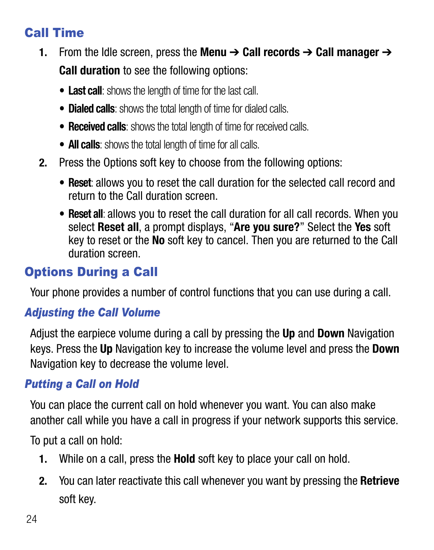# <span id="page-27-0"></span>Call Time

- **1.** From the Idle screen, press the **Menu**  $\rightarrow$  **Call records**  $\rightarrow$  **Call manager**  $\rightarrow$ **Call duration** to see the following options:
	- **Last call**: shows the length of time for the last call.
	- **Dialed calls**: shows the total length of time for dialed calls.
	- **Received calls**: shows the total length of time for received calls.
	- **All calls**: shows the total length of time for all calls.
- **2.** Press the Options soft key to choose from the following options:
	- **Reset**: allows you to reset the call duration for the selected call record and return to the Call duration screen.
	- **Reset all**: allows you to reset the call duration for all call records. When you select **Reset all**, a prompt displays, "**Are you sure?**" Select the **Yes** soft key to reset or the **No** soft key to cancel. Then you are returned to the Call duration screen.

# <span id="page-27-1"></span>Options During a Call

Your phone provides a number of control functions that you can use during a call.

#### *Adjusting the Call Volume*

Adjust the earpiece volume during a call by pressing the **Up** and **Down** Navigation keys. Press the **Up** Navigation key to increase the volume level and press the **Down** Navigation key to decrease the volume level.

#### *Putting a Call on Hold*

You can place the current call on hold whenever you want. You can also make another call while you have a call in progress if your network supports this service.

To put a call on hold:

- **1.** While on a call, press the **Hold** soft key to place your call on hold.
- **2.** You can later reactivate this call whenever you want by pressing the **Retrieve** soft key.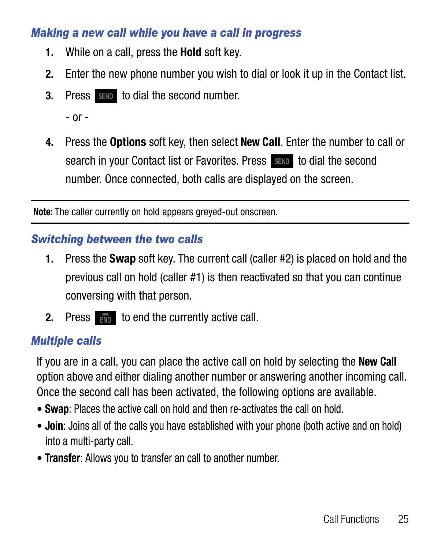#### *Making a new call while you have a call in progress*

- **1.** While on a call, press the **Hold** soft key.
- **2.** Enter the new phone number you wish to dial or look it up in the Contact list.
- **3.** Press send to dial the second number.

- or -

**4.** Press the **Options** soft key, then select **New Call**. Enter the number to call or search in your Contact list or Favorites. Press sample to dial the second number. Once connected, both calls are displayed on the screen.

**Note:** The caller currently on hold appears greyed-out onscreen.

#### *Switching between the two calls*

- **1.** Press the **Swap** soft key. The current call (caller #2) is placed on hold and the previous call on hold (caller #1) is then reactivated so that you can continue conversing with that person.
- **2.** Press **to end the currently active call.**

### *Multiple calls*

If you are in a call, you can place the active call on hold by selecting the **New Call** option above and either dialing another number or answering another incoming call. Once the second call has been activated, the following options are available.

- **Swap**: Places the active call on hold and then re-activates the call on hold.
- **Join**: Joins all of the calls you have established with your phone (both active and on hold) into a multi-party call.
- **Transfer**: Allows you to transfer an call to another number.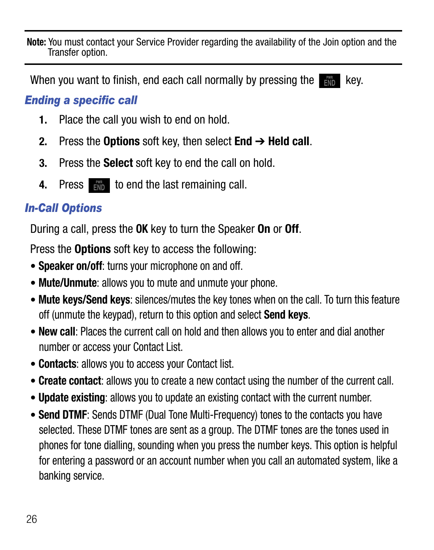**Note:** You must contact your Service Provider regarding the availability of the Join option and the Transfer option.

|  | When you want to finish, end each call normally by pressing the $\frac{1}{2}$ key. |  |  |  |
|--|------------------------------------------------------------------------------------|--|--|--|
|--|------------------------------------------------------------------------------------|--|--|--|

#### *Ending a specific call*

- **1.** Place the call you wish to end on hold.
- **2.** Press the **Options** soft key, then select **End** ➔ **Held call**.
- **3.** Press the **Select** soft key to end the call on hold.
- **4.** Press **the conditional called the last remaining call.**

### *In-Call Options*

During a call, press the **OK** key to turn the Speaker **On** or **Off**.

Press the **Options** soft key to access the following:

- **Speaker on/off**: turns your microphone on and off.
- **Mute/Unmute**: allows you to mute and unmute your phone.
- **Mute keys/Send keys**: silences/mutes the key tones when on the call. To turn this feature off (unmute the keypad), return to this option and select **Send keys**.
- **New call**: Places the current call on hold and then allows you to enter and dial another number or access your Contact List.
- **Contacts**: allows you to access your Contact list.
- **Create contact**: allows you to create a new contact using the number of the current call.
- **Update existing**: allows you to update an existing contact with the current number.
- **Send DTMF**: Sends DTMF (Dual Tone Multi-Frequency) tones to the contacts you have selected. These DTMF tones are sent as a group. The DTMF tones are the tones used in phones for tone dialling, sounding when you press the number keys. This option is helpful for entering a password or an account number when you call an automated system, like a banking service.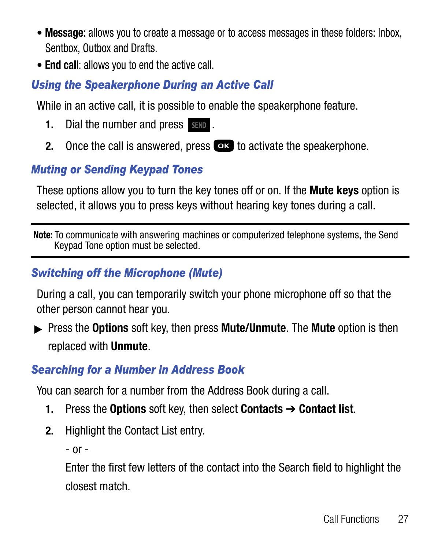- **Message:** allows you to create a message or to access messages in these folders: Inbox, Sentbox, Outbox and Drafts.
- **End cal**l: allows you to end the active call.

#### *Using the Speakerphone During an Active Call*

While in an active call, it is possible to enable the speakerphone feature.

- **1.** Dial the number and press send.
- **2.** Once the call is answered, press **to activate the speakerphone.**

#### *Muting or Sending Keypad Tones*

These options allow you to turn the key tones off or on. If the **Mute keys** option is selected, it allows you to press keys without hearing key tones during a call.

**Note:** To communicate with answering machines or computerized telephone systems, the Send Keypad Tone option must be selected.

#### *Switching off the Microphone (Mute)*

During a call, you can temporarily switch your phone microphone off so that the other person cannot hear you.

- Press the **Options** soft key, then press **Mute/Unmute**. The **Mute** option is then replaced with **Unmute**.

### *Searching for a Number in Address Book*

You can search for a number from the Address Book during a call.

- **1.** Press the **Options** soft key, then select **Contacts** ➔ **Contact list**.
- **2.** Highlight the Contact List entry.
	- or -

Enter the first few letters of the contact into the Search field to highlight the closest match.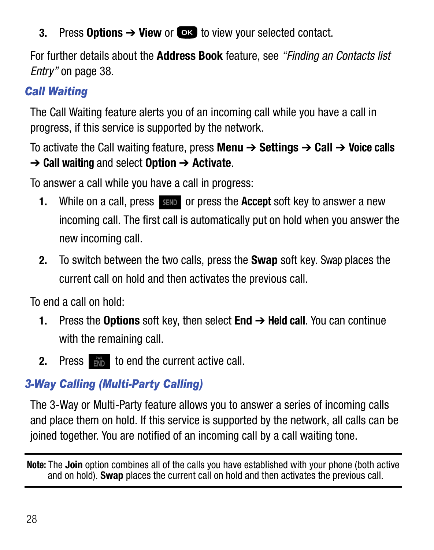**3.** Press **Options → View** or **DR** to view your selected contact.

For further details about the **Address Book** feature, see *["Finding an Contacts list](#page-41-2)  Entry"* [on page 38.](#page-41-2)

# *Call Waiting*

The Call Waiting feature alerts you of an incoming call while you have a call in progress, if this service is supported by the network.

To activate the Call waiting feature, press **Menu** ➔ **Settings** ➔ **Call** ➔ **Voice calls**

### ➔ **Call waiting** and select **Option** ➔ **Activate**.

To answer a call while you have a call in progress:

- **1.** While on a call, press sample or press the **Accept** soft key to answer a new incoming call. The first call is automatically put on hold when you answer the new incoming call.
- **2.** To switch between the two calls, press the **Swap** soft key. Swap places the current call on hold and then activates the previous call.

To end a call on hold:

- **1.** Press the **Options** soft key, then select **End** ➔ **Held call**. You can continue with the remaining call.
- **2.** Press **the conditional conducts** call.

# *3-Way Calling (Multi-Party Calling)*

The 3-Way or Multi-Party feature allows you to answer a series of incoming calls and place them on hold. If this service is supported by the network, all calls can be joined together. You are notified of an incoming call by a call waiting tone.

**Note:** The **Join** option combines all of the calls you have established with your phone (both active and on hold). **Swap** places the current call on hold and then activates the previous call.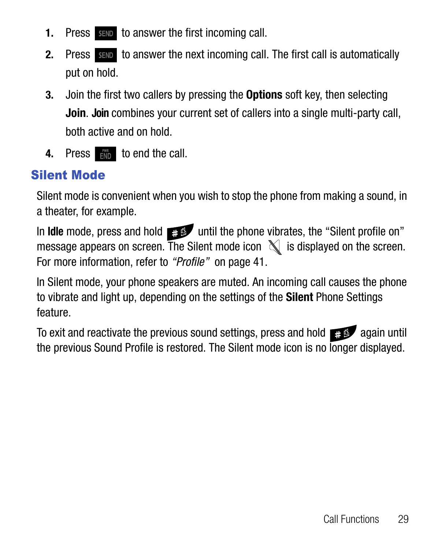- **1.** Press sem to answer the first incoming call.
- **2.** Press **SEND** to answer the next incoming call. The first call is automatically put on hold.
- **3.** Join the first two callers by pressing the **Options** soft key, then selecting **Join**. **Join** combines your current set of callers into a single multi-party call, both active and on hold.
- **4.** Press **the call**.

### <span id="page-32-0"></span>Silent Mode

Silent mode is convenient when you wish to stop the phone from making a sound, in a theater, for example.

In **Idle** mode, press and hold until the phone vibrates, the "Silent profile on" message appears on screen. The Silent mode icon  $\mathbb N$  is displayed on the screen. [For more information, refer to](#page-44-2) *"Profile"* on page 41.

In Silent mode, your phone speakers are muted. An incoming call causes the phone to vibrate and light up, depending on the settings of the **Silent** Phone Settings feature.

To exit and reactivate the previous sound settings, press and hold  $\blacksquare$  again until the previous Sound Profile is restored. The Silent mode icon is no longer displayed.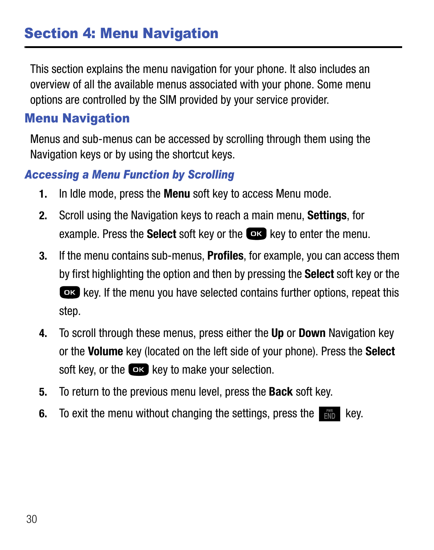# <span id="page-33-0"></span>Section 4: Menu Navigation

This section explains the menu navigation for your phone. It also includes an overview of all the available menus associated with your phone. Some menu options are controlled by the SIM provided by your service provider.

### <span id="page-33-1"></span>Menu Navigation

Menus and sub-menus can be accessed by scrolling through them using the Navigation keys or by using the shortcut keys.

#### *Accessing a Menu Function by Scrolling*

- **1.** In Idle mode, press the **Menu** soft key to access Menu mode.
- **2.** Scroll using the Navigation keys to reach a main menu, **Settings**, for example. Press the **Select** soft key or the **EX** key to enter the menu.
- **3.** If the menu contains sub-menus, **Profiles**, for example, you can access them by first highlighting the option and then by pressing the **Select** soft key or the **EX** key. If the menu you have selected contains further options, repeat this step.
- **4.** To scroll through these menus, press either the **Up** or **Down** Navigation key or the **Volume** key (located on the left side of your phone). Press the **Select** soft key, or the  $\Box$  key to make your selection.
- **5.** To return to the previous menu level, press the **Back** soft key.
- **6.** To exit the menu without changing the settings, press the **Key.** key.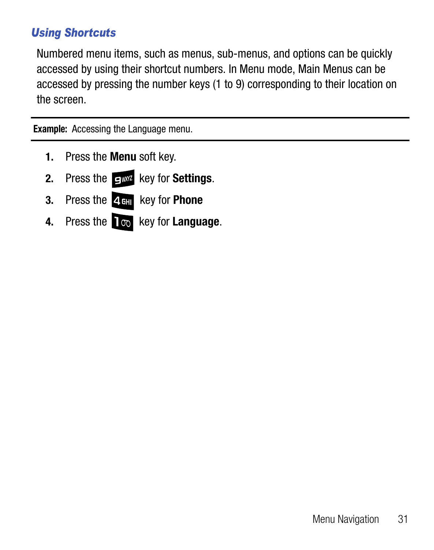#### *Using Shortcuts*

Numbered menu items, such as menus, sub-menus, and options can be quickly accessed by using their shortcut numbers. In Menu mode, Main Menus can be accessed by pressing the number keys (1 to 9) corresponding to their location on the screen.

**Example:** Accessing the Language menu.

- **1.** Press the **Menu** soft key.
- **2.** Press the **Equal** key for **Settings**.
- **3.** Press the 4<sub>GH</sub> key for **Phone**
- **4.** Press the los key for **Language**.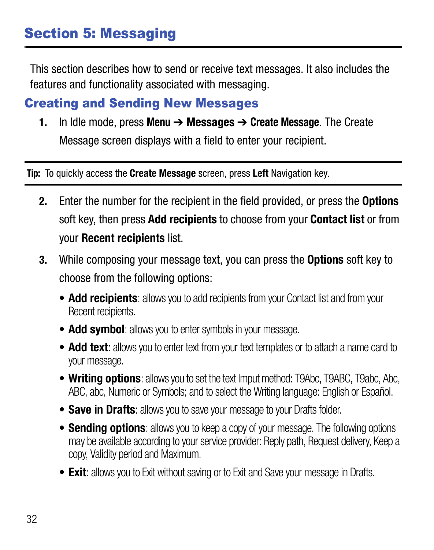# <span id="page-35-0"></span>Section 5: Messaging

This section describes how to send or receive text messages. It also includes the features and functionality associated with messaging.

#### <span id="page-35-2"></span><span id="page-35-1"></span>Creating and Sending New Messages

**1.** In Idle mode, press **Menu** ➔ **Messages** ➔ **Create Message**. The Create Message screen displays with a field to enter your recipient.

**Tip:** To quickly access the **Create Message** screen, press **Left** Navigation key.

- **2.** Enter the number for the recipient in the field provided, or press the **Options** soft key, then press **Add recipients** to choose from your **Contact list** or from your **Recent recipients** list.
- **3.** While composing your message text, you can press the **Options** soft key to choose from the following options:
	- **• Add recipients**: allows you to add recipients from your Contact list and from your Recent recipients.
	- **• Add symbol**: allows you to enter symbols in your message.
	- **• Add text**: allows you to enter text from your text templates or to attach a name card to your message.
	- **• Writing options**: allows you to set the text Imput method: T9Abc, T9ABC, T9abc, Abc, ABC, abc, Numeric or Symbols; and to select the Writing language: English or Español.
	- **• Save in Drafts**: allows you to save your message to your Drafts folder.
	- **• Sending options**: allows you to keep a copy of your message. The following options may be available according to your service provider: Reply path, Request delivery, Keep a copy, Validity period and Maximum.
	- **• Exit**: allows you to Exit without saving or to Exit and Save your message in Drafts.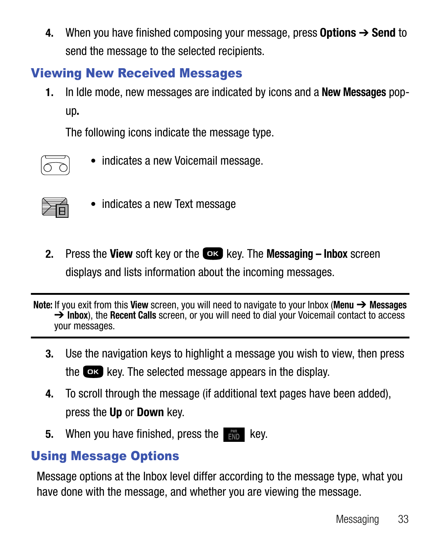**4.** When you have finished composing your message, press **Options** ➔ **Send** to send the message to the selected recipients.

# <span id="page-36-0"></span>Viewing New Received Messages

**1.** In Idle mode, new messages are indicated by icons and a **New Messages** popup**.** 

The following icons indicate the message type.

- σг
- indicates a new Voicemail message.



- indicates a new Text message
- **2.** Press the **View** soft key or the **DR** key. The **Messaging Inbox** screen displays and lists information about the incoming messages.

**Note:** If you exit from this **View** screen, you will need to navigate to your Inbox (**Menu** ➔ **Messages** ➔ **Inbox**), the **Recent Calls** screen, or you will need to dial your Voicemail contact to access your messages.

- **3.** Use the navigation keys to highlight a message you wish to view, then press the low key. The selected message appears in the display.
- **4.** To scroll through the message (if additional text pages have been added), press the **Up** or **Down** key.
- **5.** When you have finished, press the **Key.** key.

# <span id="page-36-1"></span>Using Message Options

Message options at the Inbox level differ according to the message type, what you have done with the message, and whether you are viewing the message.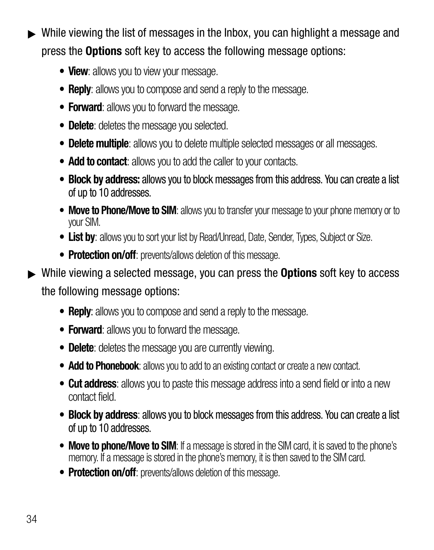- While viewing the list of messages in the Inbox, you can highlight a message and press the **Options** soft key to access the following message options:

- **View**: allows you to view your message.
- **Reply**: allows you to compose and send a reply to the message.
- **Forward**: allows you to forward the message.
- **Delete**: deletes the message you selected.
- **Delete multiple**: allows you to delete multiple selected messages or all messages.
- **Add to contact**: allows you to add the caller to your contacts.
- **Block by address:** allows you to block messages from this address. You can create a list of up to 10 addresses.
- Move to Phone/Move to SIM: allows you to transfer your message to your phone memory or to your SIM.
- **List by**: allows you to sort your list by Read/Unread, Date, Sender, Types, Subject or Size.
- **Protection on/off**: prevents/allows deletion of this message.

- While viewing a selected message, you can press the **Options** soft key to access the following message options:

- **Reply**: allows you to compose and send a reply to the message.
- **Forward**: allows you to forward the message.
- **Delete**: deletes the message you are currently viewing.
- **• Add to Phonebook**: allows you to add to an existing contact or create a new contact.
- **Cut address**: allows you to paste this message address into a send field or into a new contact field.
- **Block by address**: allows you to block messages from this address. You can create a list of up to 10 addresses.
- Move to phone/Move to SIM: If a message is stored in the SIM card, it is saved to the phone's memory. If a message is stored in the phone's memory, it is then saved to the SIM card.
- **Protection on/off**: prevents/allows deletion of this message.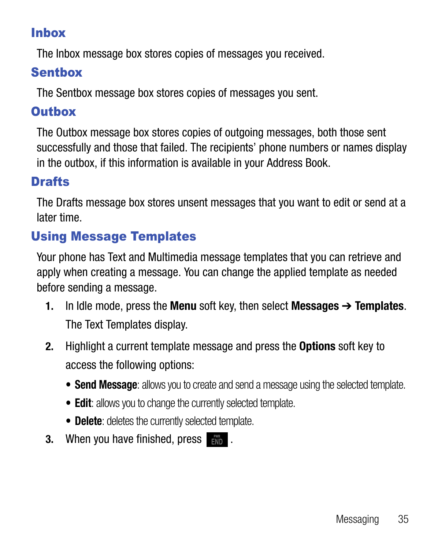### <span id="page-38-0"></span>Inbox

The Inbox message box stores copies of messages you received.

# <span id="page-38-1"></span>Sentbox

The Sentbox message box stores copies of messages you sent.

# <span id="page-38-2"></span>**Outhox**

The Outbox message box stores copies of outgoing messages, both those sent successfully and those that failed. The recipients' phone numbers or names display in the outbox, if this information is available in your Address Book.

# <span id="page-38-3"></span>**Drafts**

The Drafts message box stores unsent messages that you want to edit or send at a later time.

# <span id="page-38-4"></span>Using Message Templates

Your phone has Text and Multimedia message templates that you can retrieve and apply when creating a message. You can change the applied template as needed before sending a message.

- **1.** In Idle mode, press the **Menu** soft key, then select **Messages** ➔ **Templates**. The Text Templates display.
- **2.** Highlight a current template message and press the **Options** soft key to access the following options:
	- **Send Message**: allows you to create and send a message using the selected template.
	- **Edit**: allows you to change the currently selected template.
	- **Delete**: deletes the currently selected template.
- **3.** When you have finished, press  $\mathbb{R}$ .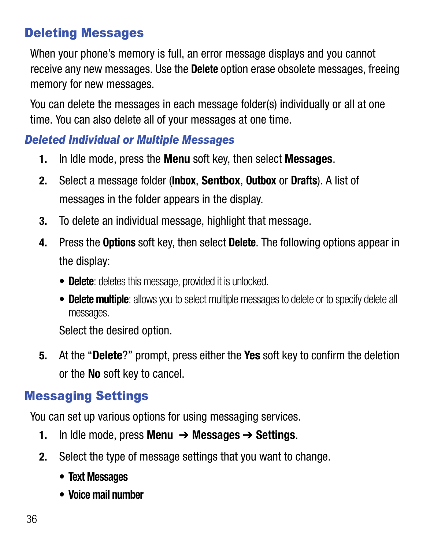# <span id="page-39-0"></span>Deleting Messages

When your phone's memory is full, an error message displays and you cannot receive any new messages. Use the **Delete** option erase obsolete messages, freeing memory for new messages.

You can delete the messages in each message folder(s) individually or all at one time. You can also delete all of your messages at one time.

#### *Deleted Individual or Multiple Messages*

- **1.** In Idle mode, press the **Menu** soft key, then select **Messages**.
- **2.** Select a message folder (**Inbox**, **Sentbox**, **Outbox** or **Drafts**). A list of messages in the folder appears in the display.
- **3.** To delete an individual message, highlight that message.
- **4.** Press the **Options** soft key, then select **Delete**. The following options appear in the display:
	- **Delete**: deletes this message, provided it is unlocked.
	- **Delete multiple**: allows you to select multiple messages to delete or to specify delete all messages.

Select the desired option.

**5.** At the "**Delete**?" prompt, press either the **Yes** soft key to confirm the deletion or the **No** soft key to cancel.

# <span id="page-39-1"></span>Messaging Settings

You can set up various options for using messaging services.

- **1.** In Idle mode, press **Menu** ➔ **Messages** ➔ **Settings**.
- **2.** Select the type of message settings that you want to change.
	- **Text Messages**
	- **Voice mail number**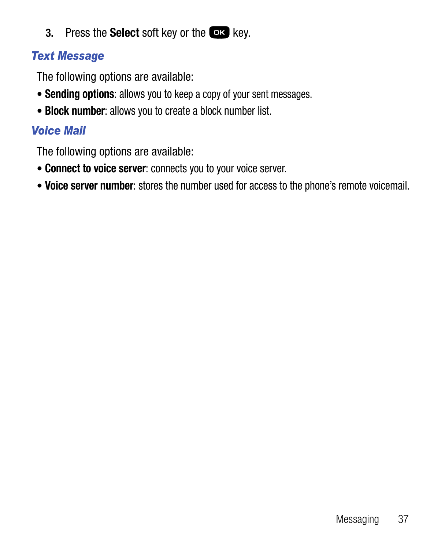**3.** Press the **Select** soft key or the **ex** key.

#### *Text Message*

The following options are available:

- **Sending options**: allows you to keep a copy of your sent messages.
- **Block number**: allows you to create a block number list.

### *Voice Mail*

The following options are available:

- **Connect to voice server**: connects you to your voice server.
- **Voice server number**: stores the number used for access to the phone's remote voicemail.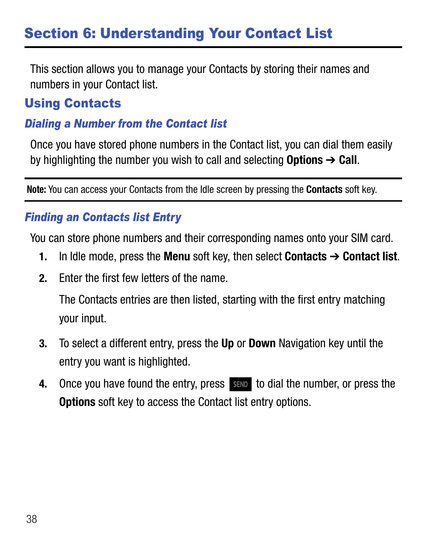# <span id="page-41-0"></span>Section 6: Understanding Your Contact List

This section allows you to manage your Contacts by storing their names and numbers in your Contact list.

### <span id="page-41-1"></span>Using Contacts

#### *Dialing a Number from the Contact list*

Once you have stored phone numbers in the Contact list, you can dial them easily by highlighting the number you wish to call and selecting **Options** ➔ **Call**.

**Note:** You can access your Contacts from the Idle screen by pressing the **Contacts** soft key.

#### <span id="page-41-2"></span>*Finding an Contacts list Entry*

You can store phone numbers and their corresponding names onto your SIM card.

- **1.** In Idle mode, press the **Menu** soft key, then select **Contacts** ➔ **Contact list**.
- **2.** Enter the first few letters of the name.

The Contacts entries are then listed, starting with the first entry matching your input.

- **3.** To select a different entry, press the **Up** or **Down** Navigation key until the entry you want is highlighted.
- **4.** Once you have found the entry, press sample to dial the number, or press the **Options** soft key to access the Contact list entry options.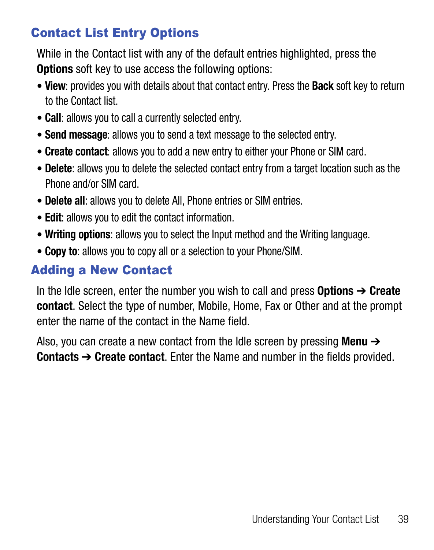# <span id="page-42-0"></span>Contact List Entry Options

While in the Contact list with any of the default entries highlighted, press the **Options** soft key to use access the following options:

- **View**: provides you with details about that contact entry. Press the **Back** soft key to return to the Contact list.
- **Call**: allows you to call a currently selected entry.
- **Send message**: allows you to send a text message to the selected entry.
- **Create contact**: allows you to add a new entry to either your Phone or SIM card.
- **Delete**: allows you to delete the selected contact entry from a target location such as the Phone and/or SIM card.
- **Delete all**: allows you to delete All, Phone entries or SIM entries.
- **Edit**: allows you to edit the contact information.
- **Writing options**: allows you to select the Input method and the Writing language.
- <span id="page-42-2"></span>• **Copy to**: allows you to copy all or a selection to your Phone/SIM.

# <span id="page-42-1"></span>Adding a New Contact

In the Idle screen, enter the number you wish to call and press **Options** ➔ **Create contact**. Select the type of number, Mobile, Home, Fax or Other and at the prompt enter the name of the contact in the Name field.

Also, you can create a new contact from the Idle screen by pressing **Menu** ➔ **Contacts** ➔ **Create contact**. Enter the Name and number in the fields provided.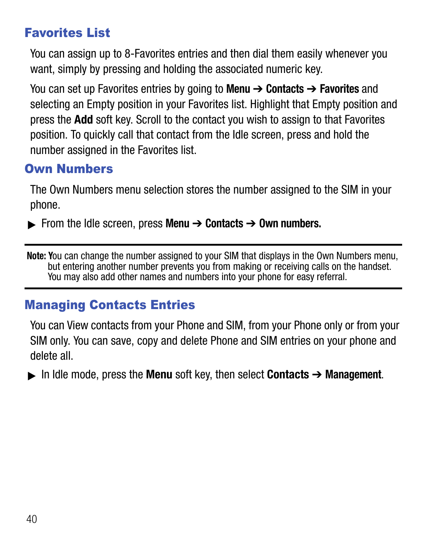### <span id="page-43-0"></span>Favorites List

You can assign up to 8-Favorites entries and then dial them easily whenever you want, simply by pressing and holding the associated numeric key.

You can set up Favorites entries by going to **Menu** ➔ **Contacts** ➔ **Favorites** and selecting an Empty position in your Favorites list. Highlight that Empty position and press the **Add** soft key. Scroll to the contact you wish to assign to that Favorites position. To quickly call that contact from the Idle screen, press and hold the number assigned in the Favorites list.

### <span id="page-43-1"></span>Own Numbers

The Own Numbers menu selection stores the number assigned to the SIM in your phone.

- From the Idle screen, press **Menu** ➔ **Contacts** ➔ **Own numbers.**

**Note: Y**ou can change the number assigned to your SIM that displays in the Own Numbers menu, but entering another number prevents you from making or receiving calls on the handset. You may also add other names and numbers into your phone for easy referral.

# <span id="page-43-2"></span>Managing Contacts Entries

You can View contacts from your Phone and SIM, from your Phone only or from your SIM only. You can save, copy and delete Phone and SIM entries on your phone and delete all.

- In Idle mode, press the **Menu** soft key, then select **Contacts** ➔ **Management**.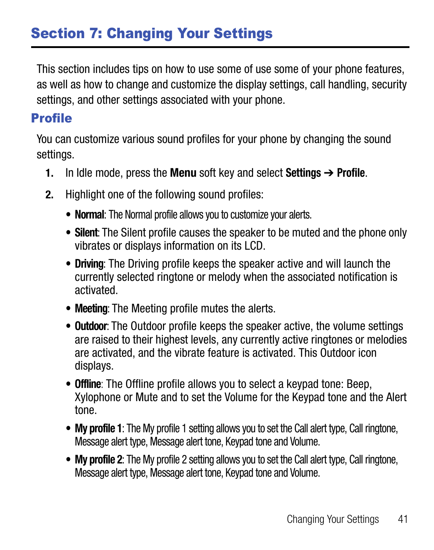<span id="page-44-0"></span>This section includes tips on how to use some of use some of your phone features, as well as how to change and customize the display settings, call handling, security settings, and other settings associated with your phone.

### <span id="page-44-2"></span><span id="page-44-1"></span>Profile

You can customize various sound profiles for your phone by changing the sound settings.

- **1.** In Idle mode, press the **Menu** soft key and select **Settings** ➔ **Profile**.
- **2.** Highlight one of the following sound profiles:
	- **Normal**: The Normal profile allows you to customize your alerts.
	- **Silent**: The Silent profile causes the speaker to be muted and the phone only vibrates or displays information on its LCD.
	- **Driving**: The Driving profile keeps the speaker active and will launch the currently selected ringtone or melody when the associated notification is activated.
	- **Meeting**: The Meeting profile mutes the alerts.
	- **Outdoor**: The Outdoor profile keeps the speaker active, the volume settings are raised to their highest levels, any currently active ringtones or melodies are activated, and the vibrate feature is activated. This Outdoor icon displays.
	- **Offline**: The Offline profile allows you to select a keypad tone: Beep, Xylophone or Mute and to set the Volume for the Keypad tone and the Alert tone.
	- **My profile 1**: The My profile 1 setting allows you to set the Call alert type, Call ringtone, Message alert type, Message alert tone, Keypad tone and Volume.
	- **My profile 2**: The My profile 2 setting allows you to set the Call alert type, Call ringtone, Message alert type, Message alert tone, Keypad tone and Volume.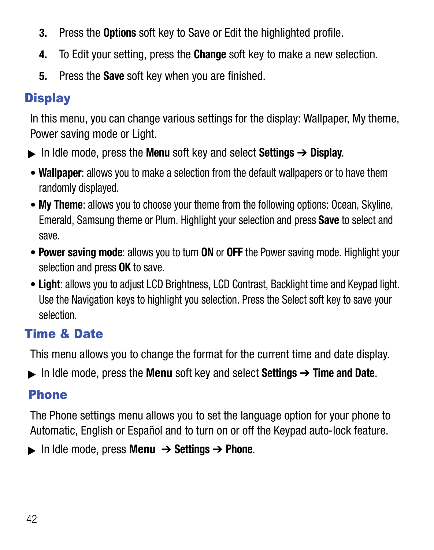- **3.** Press the **Options** soft key to Save or Edit the highlighted profile.
- **4.** To Edit your setting, press the **Change** soft key to make a new selection.
- **5.** Press the **Save** soft key when you are finished.

# <span id="page-45-0"></span>**Display**

In this menu, you can change various settings for the display: Wallpaper, My theme, Power saving mode or Light.

- In Idle mode, press the **Menu** soft key and select **Settings** ➔ **Display**.
- **Wallpaper**: allows you to make a selection from the default wallpapers or to have them randomly displayed.
- **My Theme**: allows you to choose your theme from the following options: Ocean, Skyline, Emerald, Samsung theme or Plum. Highlight your selection and press **Save** to select and save.
- **Power saving mode**: allows you to turn **ON** or **OFF** the Power saving mode. Highlight your selection and press **OK** to save.
- **Light**: allows you to adjust LCD Brightness, LCD Contrast, Backlight time and Keypad light. Use the Navigation keys to highlight you selection. Press the Select soft key to save your selection.

# <span id="page-45-1"></span>Time & Date

This menu allows you to change the format for the current time and date display.

- In Idle mode, press the **Menu** soft key and select **Settings** ➔ **Time and Date**.

# <span id="page-45-2"></span>Phone

The Phone settings menu allows you to set the language option for your phone to Automatic, English or Español and to turn on or off the Keypad auto-lock feature.

- In Idle mode, press **Menu** ➔ **Settings** ➔ **Phone**.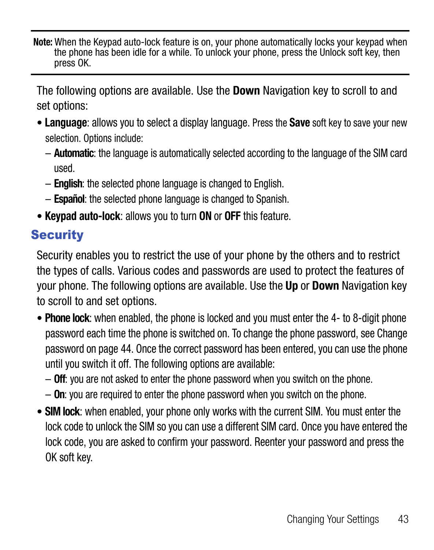**Note:** When the Keypad auto-lock feature is on, your phone automatically locks your keypad when the phone has been idle for a while. To unlock your phone, press the Unlock soft key, then press OK.

The following options are available. Use the **Down** Navigation key to scroll to and set options:

- <span id="page-46-1"></span>• **Language**: allows you to select a display language. Press the **Save** soft key to save your new selection. Options include:
	- **Automatic**: the language is automatically selected according to the language of the SIM card used.
	- **English**: the selected phone language is changed to English.
	- **Español**: the selected phone language is changed to Spanish.
- **Keypad auto-lock**: allows you to turn **ON** or **OFF** this feature.

# <span id="page-46-0"></span>**Security**

Security enables you to restrict the use of your phone by the others and to restrict the types of calls. Various codes and passwords are used to protect the features of your phone. The following options are available. Use the **Up** or **Down** Navigation key to scroll to and set options.

- **Phone lock**: when enabled, the phone is locked and you must enter the 4- to 8-digit phone password each time the phone is switched on. To change the phone password, see Change password on [page 44.](#page-47-3) Once the correct password has been entered, you can use the phone until you switch it off. The following options are available:
	- **Off**: you are not asked to enter the phone password when you switch on the phone.
	- **On**: you are required to enter the phone password when you switch on the phone.
- **SIM lock**: when enabled, your phone only works with the current SIM. You must enter the lock code to unlock the SIM so you can use a different SIM card. Once you have entered the lock code, you are asked to confirm your password. Reenter your password and press the OK soft key.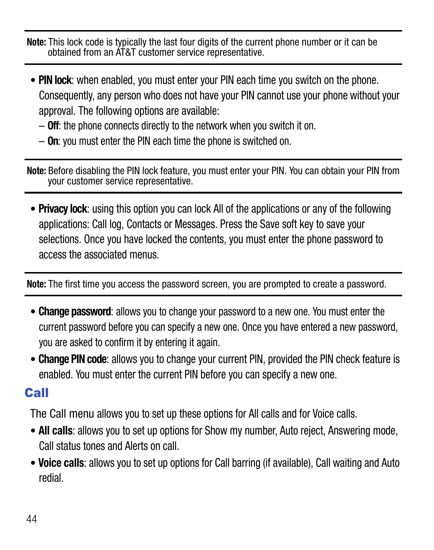**Note:** This lock code is typically the last four digits of the current phone number or it can be obtained from an AT&T customer service representative.

- **PIN lock**: when enabled, you must enter your PIN each time you switch on the phone. Consequently, any person who does not have your PIN cannot use your phone without your approval. The following options are available:
	- **Off**: the phone connects directly to the network when you switch it on.
	- **On**: you must enter the PIN each time the phone is switched on.

**Note:** Before disabling the PIN lock feature, you must enter your PIN. You can obtain your PIN from your customer service representative.

• **Privacy lock**: using this option you can lock All of the applications or any of the following applications: Call log, Contacts or Messages. Press the Save soft key to save your selections. Once you have locked the contents, you must enter the phone password to access the associated menus.

**Note:** The first time you access the password screen, you are prompted to create a password.

- <span id="page-47-3"></span><span id="page-47-1"></span>• **Change password**: allows you to change your password to a new one. You must enter the current password before you can specify a new one. Once you have entered a new password, you are asked to confirm it by entering it again.
- **Change PIN code**: allows you to change your current PIN, provided the PIN check feature is enabled. You must enter the current PIN before you can specify a new one.

#### <span id="page-47-0"></span>Call

The Call menu allows you to set up these options for All calls and for Voice calls.

- **All calls**: allows you to set up options for Show my number, Auto reject, Answering mode, Call status tones and Alerts on call.
- <span id="page-47-2"></span>• **Voice calls**: allows you to set up options for Call barring (if available), Call waiting and Auto redial.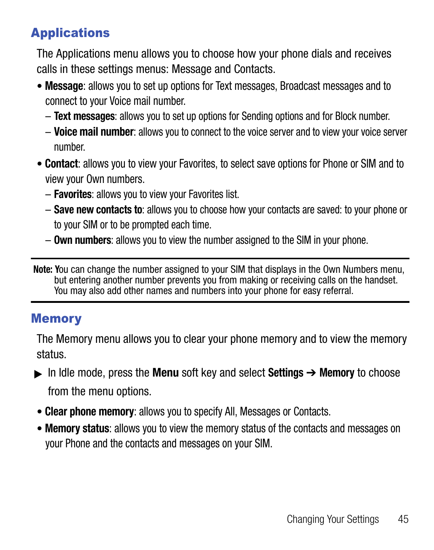# <span id="page-48-0"></span>**Applications**

The Applications menu allows you to choose how your phone dials and receives calls in these settings menus: Message and Contacts.

- **Message**: allows you to set up options for Text messages, Broadcast messages and to connect to your Voice mail number.
	- **Text messages**: allows you to set up options for Sending options and for Block number.
	- **Voice mail number**: allows you to connect to the voice server and to view your voice server number.
- **Contact**: allows you to view your Favorites, to select save options for Phone or SIM and to view your Own numbers.
	- **Favorites**: allows you to view your Favorites list.
	- **Save new contacts to**: allows you to choose how your contacts are saved: to your phone or to your SIM or to be prompted each time.
	- **Own numbers**: allows you to view the number assigned to the SIM in your phone.

**Note: Y**ou can change the number assigned to your SIM that displays in the Own Numbers menu, but entering another number prevents you from making or receiving calls on the handset. You may also add other names and numbers into your phone for easy referral.

### <span id="page-48-1"></span>**Memory**

The Memory menu allows you to clear your phone memory and to view the memory status.

- **►** In Idle mode, press the Menu soft key and select Settings → Memory to choose from the menu options.
- **Clear phone memory**: allows you to specify All, Messages or Contacts.
- **Memory status**: allows you to view the memory status of the contacts and messages on your Phone and the contacts and messages on your SIM.